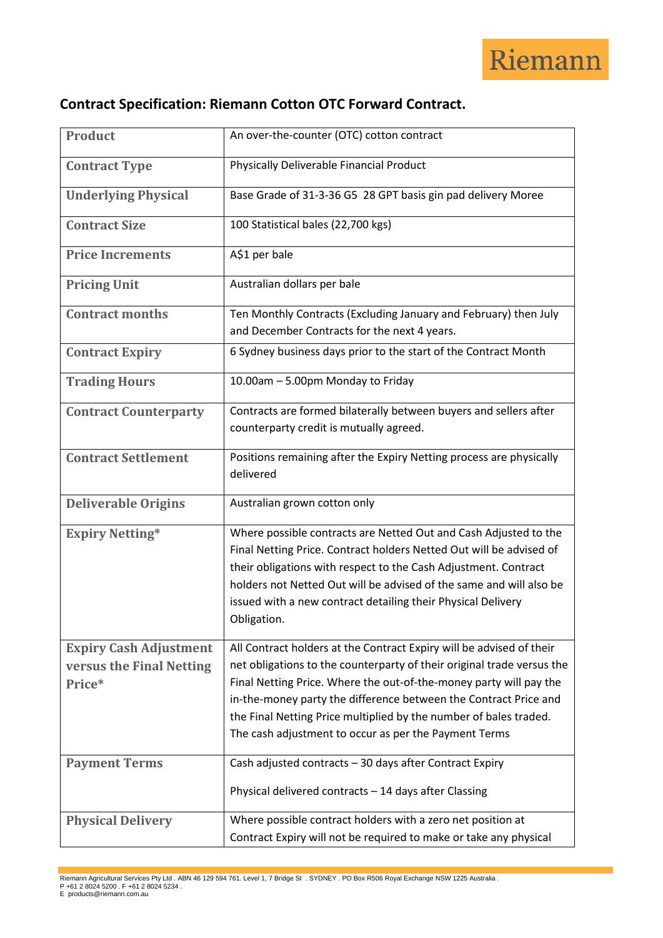

## **Contract Specification: Riemann Cotton OTC Forward Contract.**

| <b>Product</b>                                                      | An over-the-counter (OTC) cotton contract                                                                                                                                                                                                                                                                                                                                                                              |
|---------------------------------------------------------------------|------------------------------------------------------------------------------------------------------------------------------------------------------------------------------------------------------------------------------------------------------------------------------------------------------------------------------------------------------------------------------------------------------------------------|
| <b>Contract Type</b>                                                | Physically Deliverable Financial Product                                                                                                                                                                                                                                                                                                                                                                               |
| <b>Underlying Physical</b>                                          | Base Grade of 31-3-36 G5 28 GPT basis gin pad delivery Moree                                                                                                                                                                                                                                                                                                                                                           |
| <b>Contract Size</b>                                                | 100 Statistical bales (22,700 kgs)                                                                                                                                                                                                                                                                                                                                                                                     |
| <b>Price Increments</b>                                             | A\$1 per bale                                                                                                                                                                                                                                                                                                                                                                                                          |
| <b>Pricing Unit</b>                                                 | Australian dollars per bale                                                                                                                                                                                                                                                                                                                                                                                            |
| <b>Contract months</b>                                              | Ten Monthly Contracts (Excluding January and February) then July<br>and December Contracts for the next 4 years.                                                                                                                                                                                                                                                                                                       |
| <b>Contract Expiry</b>                                              | 6 Sydney business days prior to the start of the Contract Month                                                                                                                                                                                                                                                                                                                                                        |
| <b>Trading Hours</b>                                                | 10.00am - 5.00pm Monday to Friday                                                                                                                                                                                                                                                                                                                                                                                      |
| <b>Contract Counterparty</b>                                        | Contracts are formed bilaterally between buyers and sellers after<br>counterparty credit is mutually agreed.                                                                                                                                                                                                                                                                                                           |
| <b>Contract Settlement</b>                                          | Positions remaining after the Expiry Netting process are physically<br>delivered                                                                                                                                                                                                                                                                                                                                       |
| <b>Deliverable Origins</b>                                          | Australian grown cotton only                                                                                                                                                                                                                                                                                                                                                                                           |
| <b>Expiry Netting*</b>                                              | Where possible contracts are Netted Out and Cash Adjusted to the<br>Final Netting Price. Contract holders Netted Out will be advised of<br>their obligations with respect to the Cash Adjustment. Contract<br>holders not Netted Out will be advised of the same and will also be<br>issued with a new contract detailing their Physical Delivery<br>Obligation.                                                       |
| <b>Expiry Cash Adjustment</b><br>versus the Final Netting<br>Price* | All Contract holders at the Contract Expiry will be advised of their<br>net obligations to the counterparty of their original trade versus the<br>Final Netting Price. Where the out-of-the-money party will pay the<br>in-the-money party the difference between the Contract Price and<br>the Final Netting Price multiplied by the number of bales traded.<br>The cash adjustment to occur as per the Payment Terms |
| <b>Payment Terms</b>                                                | Cash adjusted contracts - 30 days after Contract Expiry<br>Physical delivered contracts - 14 days after Classing                                                                                                                                                                                                                                                                                                       |
| <b>Physical Delivery</b>                                            |                                                                                                                                                                                                                                                                                                                                                                                                                        |

Riemann Agricultural Services Pty Ltd . ABN 46 129 594 761. Level 1, 7 Bridge St . SYDNEY . PO Box R506 Royal Exchange NSW 1225 Australia .<br>P +61 2 8024 5200 . F +61 2 8024 5234 .<br>E products@riemann.com.au